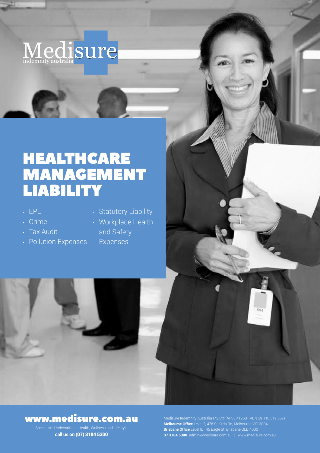

# HEALTHCARE MANAGEMENT LIABILITY

- EPL
- Crime
- Tax Audit
- Pollution Expenses
- Statutory Liability
- Workplace Health
	- and Safety Expenses



## www.medisure.com.au

**call us on** (07) 3184 5300

**Melbourne Office** Level 2, 476 St Kilda Rd, Melbourne VIC 3004 **Brisbane Office** Level 8, 145 Eagle St, Brisbane QLD 4000 **07 3184 5300** admin@medisure.com.au | www.medisure.com.au